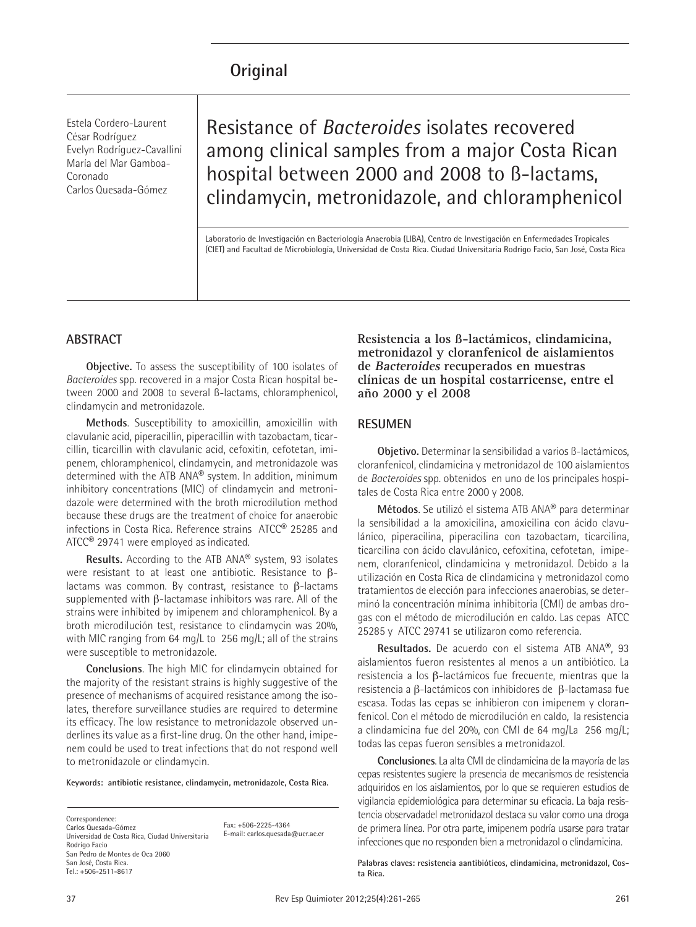# **Original**

Estela Cordero-Laurent César Rodríguez Evelyn Rodríguez-Cavallini María del Mar Gamboa-Coronado Carlos Quesada-Gómez

Resistance of *Bacteroides* isolates recovered among clinical samples from a major Costa Rican hospital between 2000 and 2008 to ß-lactams, clindamycin, metronidazole, and chloramphenicol

Laboratorio de Investigación en Bacteriología Anaerobia (LIBA), Centro de Investigación en Enfermedades Tropicales (CIET) and Facultad de Microbiología, Universidad de Costa Rica. Ciudad Universitaria Rodrigo Facio, San José, Costa Rica

### **ABSTRACT**

**Objective.** To assess the susceptibility of 100 isolates of *Bacteroides* spp. recovered in a major Costa Rican hospital between 2000 and 2008 to several ß-lactams, chloramphenicol, clindamycin and metronidazole.

**Methods**. Susceptibility to amoxicillin, amoxicillin with clavulanic acid, piperacillin, piperacillin with tazobactam, ticarcillin, ticarcillin with clavulanic acid, cefoxitin, cefotetan, imipenem, chloramphenicol, clindamycin, and metronidazole was determined with the ATB ANA® system. In addition, minimum inhibitory concentrations (MIC) of clindamycin and metronidazole were determined with the broth microdilution method because these drugs are the treatment of choice for anaerobic infections in Costa Rica. Reference strains ATCC® 25285 and ATCC® 29741 were employed as indicated.

**Results.** According to the ATB ANA® system, 93 isolates were resistant to at least one antibiotic. Resistance to  $\beta$ lactams was common. By contrast, resistance to  $\beta$ -lactams supplemented with  $\beta$ -lactamase inhibitors was rare. All of the strains were inhibited by imipenem and chloramphenicol. By a broth microdilución test, resistance to clindamycin was 20%, with MIC ranging from 64 mg/L to 256 mg/L; all of the strains were susceptible to metronidazole.

**Conclusions**. The high MIC for clindamycin obtained for the majority of the resistant strains is highly suggestive of the presence of mechanisms of acquired resistance among the isolates, therefore surveillance studies are required to determine its efficacy. The low resistance to metronidazole observed underlines its value as a first-line drug. On the other hand, imipenem could be used to treat infections that do not respond well to metronidazole or clindamycin.

**Keywords: antibiotic resistance, clindamycin, metronidazole, Costa Rica.**

Correspondence: Carlos Quesada-Gómez Universidad de Costa Rica, Ciudad Universitaria Rodrigo Facio San Pedro de Montes de Oca 2060 San José, Costa Rica. Tel.: +506-2511-8617

Fax: +506-2225-4364 E-mail: carlos.quesada@ucr.ac.cr **Resistencia a los ß-lactámicos, clindamicina, metronidazol y cloranfenicol de aislamientos de Bacteroides recuperados en muestras clínicas de un hospital costarricense, entre el año 2000 y el 2008**

#### **RESUMEN**

**Objetivo.** Determinar la sensibilidad a varios ß-lactámicos, cloranfenicol, clindamicina y metronidazol de 100 aislamientos de *Bacteroides* spp. obtenidos en uno de los principales hospitales de Costa Rica entre 2000 y 2008.

**Métodos**. Se utilizó el sistema ATB ANA® para determinar la sensibilidad a la amoxicilina, amoxicilina con ácido clavulánico, piperacilina, piperacilina con tazobactam, ticarcilina, ticarcilina con ácido clavulánico, cefoxitina, cefotetan, imipenem, cloranfenicol, clindamicina y metronidazol. Debido a la utilización en Costa Rica de clindamicina y metronidazol como tratamientos de elección para infecciones anaerobias, se determinó la concentración mínima inhibitoria (CMI) de ambas drogas con el método de microdilución en caldo. Las cepas ATCC 25285 y ATCC 29741 se utilizaron como referencia.

**Resultados.** De acuerdo con el sistema ATB ANA®, 93 aislamientos fueron resistentes al menos a un antibiótico. La  $resistencia$  a los  $\beta$ -lactámicos fue frecuente, mientras que la resistencia a  $\beta$ -lactámicos con inhibidores de  $\beta$ -lactamasa fue escasa. Todas las cepas se inhibieron con imipenem y cloranfenicol. Con el método de microdilución en caldo, la resistencia a clindamicina fue del 20%, con CMI de 64 mg/La 256 mg/L; todas las cepas fueron sensibles a metronidazol.

**Conclusiones**. La alta CMI de clindamicina de la mayoría de las cepas resistentes sugiere la presencia de mecanismos de resistencia adquiridos en los aislamientos, por lo que se requieren estudios de vigilancia epidemiológica para determinar su eficacia. La baja resistencia observadadel metronidazol destaca su valor como una droga de primera línea. Por otra parte, imipenem podría usarse para tratar infecciones que no responden bien a metronidazol o clindamicina.

**Palabras claves: resistencia aantibióticos, clindamicina, metronidazol, Costa Rica.**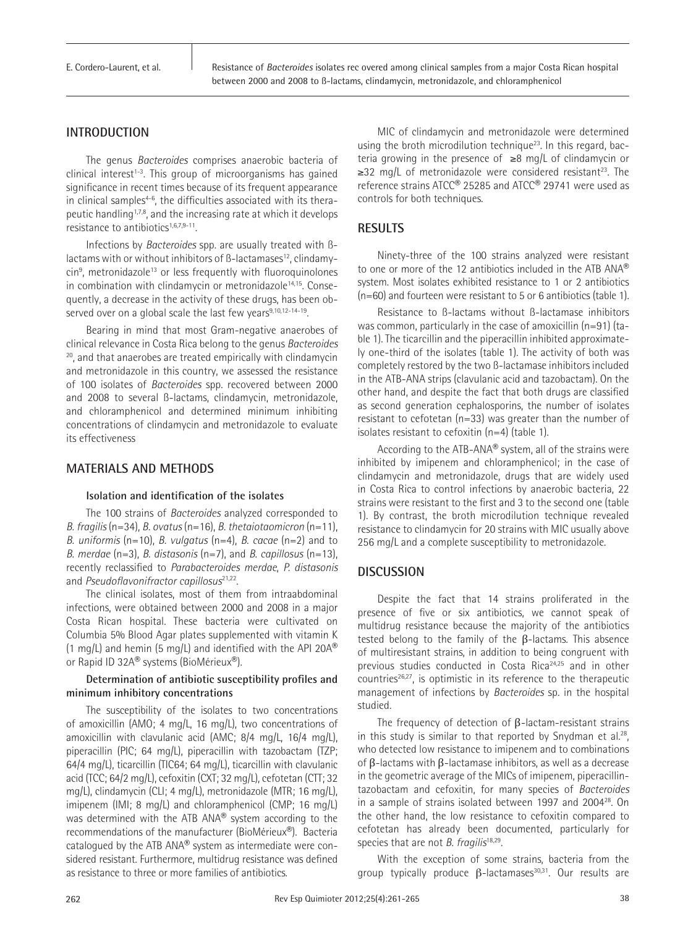E. Cordero-Laurent, et al.

Resistance of *Bacteroides* isolates rec overed among clinical samples from a major Costa Rican hospital between 2000 and 2008 to ß-lactams, clindamycin, metronidazole, and chloramphenicol

# **INTRODUCTION**

The genus *Bacteroides* comprises anaerobic bacteria of clinical interest<sup>1-3</sup>. This group of microorganisms has gained significance in recent times because of its frequent appearance in clinical samples<sup>4-6</sup>, the difficulties associated with its therapeutic handling<sup>1,7,8</sup>, and the increasing rate at which it develops resistance to antibiotics<sup>1,6,7,9-11</sup>.

Infections by *Bacteroides* spp. are usually treated with ßlactams with or without inhibitors of  $\beta$ -lactamases<sup>12</sup>, clindamycin<sup>9</sup>, metronidazole<sup>13</sup> or less frequently with fluoroquinolones in combination with clindamycin or metronidazole<sup>14,15</sup>. Consequently, a decrease in the activity of these drugs, has been observed over on a global scale the last few years<sup>9,10,12-14-19</sup>.

Bearing in mind that most Gram-negative anaerobes of clinical relevance in Costa Rica belong to the genus *Bacteroides* <sup>20</sup>, and that anaerobes are treated empirically with clindamycin and metronidazole in this country, we assessed the resistance of 100 isolates of *Bacteroides* spp. recovered between 2000 and 2008 to several ß-lactams, clindamycin, metronidazole, and chloramphenicol and determined minimum inhibiting concentrations of clindamycin and metronidazole to evaluate its effectiveness

## **MATERIALS AND METHODS**

#### **Isolation and identification of the isolates**

The 100 strains of *Bacteroides* analyzed corresponded to *B. fragilis* (n=34), *B. ovatus* (n=16), *B. thetaiotaomicron* (n=11), *B. uniformis* (n=10), *B. vulgatus* (n=4), *B. cacae* (n=2) and to *B. merdae* (n=3), *B. distasonis* (n=7), and *B. capillosus* (n=13), recently reclassified to *Parabacteroides merdae*, *P. distasonis*  and *Pseudoflavonifractor capillosus*21,22.

The clinical isolates, most of them from intraabdominal infections, were obtained between 2000 and 2008 in a major Costa Rican hospital. These bacteria were cultivated on Columbia 5% Blood Agar plates supplemented with vitamin K (1 mg/L) and hemin (5 mg/L) and identified with the API 20 $A^{\circledR}$ or Rapid ID 32A® systems (BioMérieux®).

#### **Determination of antibiotic susceptibility profiles and minimum inhibitory concentrations**

The susceptibility of the isolates to two concentrations of amoxicillin (AMO; 4 mg/L, 16 mg/L), two concentrations of amoxicillin with clavulanic acid (AMC; 8/4 mg/L, 16/4 mg/L), piperacillin (PIC; 64 mg/L), piperacillin with tazobactam (TZP; 64/4 mg/L), ticarcillin (TIC64; 64 mg/L), ticarcillin with clavulanic acid (TCC; 64/2 mg/L), cefoxitin (CXT; 32 mg/L), cefotetan (CTT; 32 mg/L), clindamycin (CLI; 4 mg/L), metronidazole (MTR; 16 mg/L), imipenem (IMI; 8 mg/L) and chloramphenicol (CMP; 16 mg/L) was determined with the ATB ANA® system according to the recommendations of the manufacturer (BioMérieux®). Bacteria catalogued by the ATB ANA® system as intermediate were considered resistant. Furthermore, multidrug resistance was defined as resistance to three or more families of antibiotics.

MIC of clindamycin and metronidazole were determined using the broth microdilution technique<sup>23</sup>. In this regard, bacteria growing in the presence of ≥8 mg/L of clindamycin or ≥32 mg/L of metronidazole were considered resistant23. The reference strains ATCC® 25285 and ATCC® 29741 were used as controls for both techniques.

# **RESULTS**

Ninety-three of the 100 strains analyzed were resistant to one or more of the 12 antibiotics included in the ATB ANA® system. Most isolates exhibited resistance to 1 or 2 antibiotics (n=60) and fourteen were resistant to 5 or 6 antibiotics (table 1).

Resistance to ß-lactams without ß-lactamase inhibitors was common, particularly in the case of amoxicillin (n=91) (table 1). The ticarcillin and the piperacillin inhibited approximately one-third of the isolates (table 1). The activity of both was completely restored by the two ß-lactamase inhibitors included in the ATB-ANA strips (clavulanic acid and tazobactam). On the other hand, and despite the fact that both drugs are classified as second generation cephalosporins, the number of isolates resistant to cefotetan (n=33) was greater than the number of isolates resistant to cefoxitin (n=4) (table 1).

According to the ATB-ANA® system, all of the strains were inhibited by imipenem and chloramphenicol; in the case of clindamycin and metronidazole, drugs that are widely used in Costa Rica to control infections by anaerobic bacteria, 22 strains were resistant to the first and 3 to the second one (table 1). By contrast, the broth microdilution technique revealed resistance to clindamycin for 20 strains with MIC usually above 256 mg/L and a complete susceptibility to metronidazole.

# **DISCUSSION**

Despite the fact that 14 strains proliferated in the presence of five or six antibiotics, we cannot speak of multidrug resistance because the majority of the antibiotics tested belong to the family of the β-lactams. This absence of multiresistant strains, in addition to being congruent with previous studies conducted in Costa Rica<sup>24,25</sup> and in other countries<sup>26,27</sup>, is optimistic in its reference to the therapeutic management of infections by *Bacteroides* sp. in the hospital studied.

The frequency of detection of β-lactam-resistant strains in this study is similar to that reported by Snydman et al.<sup>28</sup>, who detected low resistance to imipenem and to combinations of β-lactams with β-lactamase inhibitors, as well as a decrease in the geometric average of the MICs of imipenem, piperacillintazobactam and cefoxitin, for many species of *Bacteroides* in a sample of strains isolated between 1997 and 2004<sup>28</sup>. On the other hand, the low resistance to cefoxitin compared to cefotetan has already been documented, particularly for species that are not *B. fragilis*<sup>18,29</sup>.

With the exception of some strains, bacteria from the group typically produce  $\beta$ -lactamases<sup>30,31</sup>. Our results are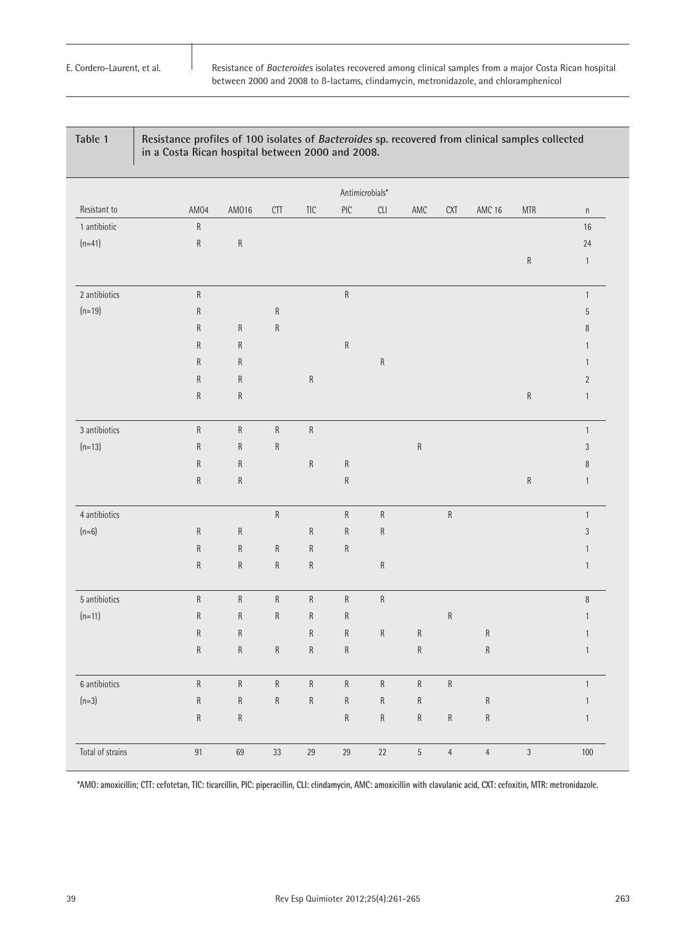## **Table 1 Resistance profiles of 100 isolates of Bacteroides sp. recovered from clinical samples collected in a Costa Rican hospital between 2000 and 2008.**

|                  | Antimicrobials* |           |                  |                |           |           |            |                |               |                                    |               |
|------------------|-----------------|-----------|------------------|----------------|-----------|-----------|------------|----------------|---------------|------------------------------------|---------------|
| Resistant to     | AM04            | AM016     | $\mathbb{C} \Pi$ | $\mathsf{TIC}$ | PIC       | CLI       | AMC        | <b>CXT</b>     | <b>AMC 16</b> | $\ensuremath{\mathsf{MTR}}\xspace$ | $\mathsf n$   |
| 1 antibiotic     | $\sf R$         |           |                  |                |           |           |            |                |               |                                    | 16            |
| $(n=41)$         | $\sf R$         | ${\sf R}$ |                  |                |           |           |            |                |               |                                    | 24            |
|                  |                 |           |                  |                |           |           |            |                |               | ${\sf R}$                          | $\mathbf{1}$  |
| 2 antibiotics    | $\sf R$         |           |                  |                | ${\sf R}$ |           |            |                |               |                                    | $\mathbf{1}$  |
| $(n=19)$         | $\mathsf R$     |           | ${\sf R}$        |                |           |           |            |                |               |                                    | $\sqrt{5}$    |
|                  | $\sf R$         | ${\sf R}$ | ${\sf R}$        |                |           |           |            |                |               |                                    | $\, 8$        |
|                  | ${\sf R}$       | ${\sf R}$ |                  |                | ${\sf R}$ |           |            |                |               |                                    | $\mathbf{1}$  |
|                  | ${\sf R}$       | ${\sf R}$ |                  |                |           | ${\sf R}$ |            |                |               |                                    | $\mathbf{1}$  |
|                  | ${\sf R}$       | ${\sf R}$ |                  | ${\sf R}$      |           |           |            |                |               |                                    | $\sqrt{2}$    |
|                  | ${\sf R}$       | ${\sf R}$ |                  |                |           |           |            |                |               | ${\sf R}$                          | $\mathbf{1}$  |
| 3 antibiotics    | $\sf R$         | ${\sf R}$ | ${\sf R}$        | ${\sf R}$      |           |           |            |                |               |                                    | $\mathbf{1}$  |
| $(n=13)$         | ${\sf R}$       | ${\sf R}$ | ${\sf R}$        |                |           |           | ${\sf R}$  |                |               |                                    | $\sqrt{3}$    |
|                  | ${\sf R}$       | ${\sf R}$ |                  | ${\sf R}$      | ${\sf R}$ |           |            |                |               |                                    | $\, 8$        |
|                  | $\sf R$         | ${\sf R}$ |                  |                | ${\sf R}$ |           |            |                |               | ${\sf R}$                          | $\mathbf{1}$  |
| 4 antibiotics    |                 |           | ${\sf R}$        |                | ${\sf R}$ | ${\sf R}$ |            | ${\sf R}$      |               |                                    | $\mathbf{1}$  |
| $(n=6)$          | ${\sf R}$       | ${\sf R}$ |                  | ${\sf R}$      | ${\sf R}$ | ${\sf R}$ |            |                |               |                                    | $\sqrt{3}$    |
|                  | $\mathsf R$     | ${\sf R}$ | ${\sf R}$        | ${\sf R}$      | ${\sf R}$ |           |            |                |               |                                    | $\mathbf{1}$  |
|                  | ${\sf R}$       | ${\sf R}$ | ${\sf R}$        | ${\sf R}$      |           | ${\sf R}$ |            |                |               |                                    | $\,1$         |
| 5 antibiotics    | $\sf R$         | ${\sf R}$ | ${\sf R}$        | ${\sf R}$      | ${\sf R}$ | ${\sf R}$ |            |                |               |                                    | $\, 8$        |
| $(n=11)$         | ${\sf R}$       | ${\sf R}$ | ${\sf R}$        | ${\sf R}$      | ${\sf R}$ |           |            | ${\sf R}$      |               |                                    | $\mathbf{1}$  |
|                  | ${\sf R}$       | ${\sf R}$ |                  | ${\sf R}$      | ${\sf R}$ | ${\sf R}$ | ${\sf R}$  |                | ${\sf R}$     |                                    | $\mathbf{1}$  |
|                  | $\sf R$         | ${\sf R}$ | ${\sf R}$        | ${\sf R}$      | ${\sf R}$ |           | ${\sf R}$  |                | ${\sf R}$     |                                    | $\mathbf{1}$  |
| 6 antibiotics    | ${\sf R}$       | ${\sf R}$ | ${\sf R}$        | ${\sf R}$      | ${\sf R}$ | ${\sf R}$ | ${\sf R}$  | $\sf R$        |               |                                    | $\mathbbm{1}$ |
| $(n=3)$          | ${\sf R}$       | ${\sf R}$ | ${\sf R}$        | ${\sf R}$      | ${\sf R}$ | ${\sf R}$ | ${\sf R}$  |                | ${\sf R}$     |                                    | $\mathbf{1}$  |
|                  | ${\sf R}$       | ${\sf R}$ |                  |                | ${\sf R}$ | ${\sf R}$ | ${\sf R}$  | ${\sf R}$      | ${\sf R}$     |                                    | $\mathbf{1}$  |
| Total of strains | 91              | 69        | 33               | 29             | 29        | $22\,$    | $\sqrt{5}$ | $\overline{4}$ | $\sqrt{4}$    | $\overline{3}$                     | 100           |

**\*AMO: amoxicillin; CTT: cefotetan, TIC: ticarcillin, PIC: piperacillin, CLI: clindamycin, AMC: amoxicillin with clavulanic acid, CXT: cefoxitin, MTR: metronidazole.**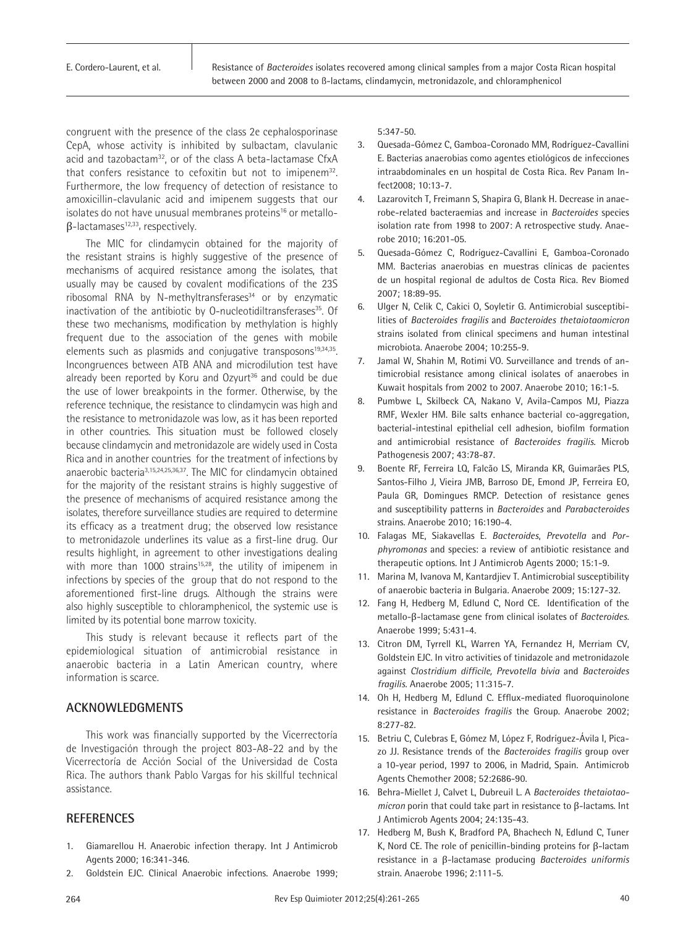congruent with the presence of the class 2e cephalosporinase CepA, whose activity is inhibited by sulbactam, clavulanic acid and tazobactam<sup>32</sup>, or of the class A beta-lactamase CfxA that confers resistance to cefoxitin but not to imipenem<sup>32</sup>. Furthermore, the low frequency of detection of resistance to amoxicillin-clavulanic acid and imipenem suggests that our isolates do not have unusual membranes proteins<sup>16</sup> or metallo $β$ -lactamases<sup>12,33</sup>, respectively.

The MIC for clindamycin obtained for the majority of the resistant strains is highly suggestive of the presence of mechanisms of acquired resistance among the isolates, that usually may be caused by covalent modifications of the 23S ribosomal RNA by N-methyltransferases $34$  or by enzymatic inactivation of the antibiotic by 0-nucleotidiltransferases<sup>35</sup>. Of these two mechanisms, modification by methylation is highly frequent due to the association of the genes with mobile elements such as plasmids and conjugative transposons<sup>19,34,35</sup>. Incongruences between ATB ANA and microdilution test have already been reported by Koru and  $Ozyurt^{36}$  and could be due the use of lower breakpoints in the former. Otherwise, by the reference technique, the resistance to clindamycin was high and the resistance to metronidazole was low, as it has been reported in other countries. This situation must be followed closely because clindamycin and metronidazole are widely used in Costa Rica and in another countries for the treatment of infections by anaerobic bacteria3,15,24,25,36,37. The MIC for clindamycin obtained for the majority of the resistant strains is highly suggestive of the presence of mechanisms of acquired resistance among the isolates, therefore surveillance studies are required to determine its efficacy as a treatment drug; the observed low resistance to metronidazole underlines its value as a first-line drug. Our results highlight, in agreement to other investigations dealing with more than 1000 strains<sup>15,28</sup>, the utility of imipenem in infections by species of the group that do not respond to the aforementioned first-line drugs. Although the strains were also highly susceptible to chloramphenicol, the systemic use is limited by its potential bone marrow toxicity.

This study is relevant because it reflects part of the epidemiological situation of antimicrobial resistance in anaerobic bacteria in a Latin American country, where information is scarce.

# **ACKNOWLEDGMENTS**

This work was financially supported by the Vicerrectoría de Investigación through the project 803-A8-22 and by the Vicerrectoría de Acción Social of the Universidad de Costa Rica. The authors thank Pablo Vargas for his skillful technical assistance.

## **REFERENCES**

- 1. Giamarellou H. Anaerobic infection therapy. Int J Antimicrob Agents 2000; 16:341-346.
- 2. Goldstein EJC. Clinical Anaerobic infections. Anaerobe 1999;

5:347-50.

- 3. Quesada-Gómez C, Gamboa-Coronado MM, Rodríguez-Cavallini E. Bacterias anaerobias como agentes etiológicos de infecciones intraabdominales en un hospital de Costa Rica. Rev Panam Infect2008; 10:13-7.
- 4. Lazarovitch T, Freimann S, Shapira G, Blank H. Decrease in anaerobe-related bacteraemias and increase in *Bacteroides* species isolation rate from 1998 to 2007: A retrospective study. Anaerobe 2010; 16:201-05.
- 5. Quesada-Gómez C, Rodríguez-Cavallini E, Gamboa-Coronado MM. Bacterias anaerobias en muestras clínicas de pacientes de un hospital regional de adultos de Costa Rica. Rev Biomed 2007; 18:89-95.
- 6. Ulger N, Celik C, Cakici O, Soyletir G. Antimicrobial susceptibilities of *Bacteroides fragilis* and *Bacteroides thetaiotaomicron* strains isolated from clinical specimens and human intestinal microbiota. Anaerobe 2004; 10:255-9.
- 7. Jamal W, Shahin M, Rotimi VO. Surveillance and trends of antimicrobial resistance among clinical isolates of anaerobes in Kuwait hospitals from 2002 to 2007. Anaerobe 2010; 16:1-5.
- 8. Pumbwe L, Skilbeck CA, Nakano V, Avila-Campos MJ, Piazza RMF, Wexler HM. Bile salts enhance bacterial co-aggregation, bacterial-intestinal epithelial cell adhesion, biofilm formation and antimicrobial resistance of *Bacteroides fragilis*. Microb Pathogenesis 2007; 43:78-87.
- 9. Boente RF, Ferreira LQ, Falcão LS, Miranda KR, Guimarães PLS, Santos-Filho J, Vieira JMB, Barroso DE, Emond JP, Ferreira EO, Paula GR, Domingues RMCP. Detection of resistance genes and susceptibility patterns in *Bacteroides* and *Parabacteroides* strains. Anaerobe 2010; 16:190-4.
- 10. Falagas ME, Siakavellas E. *Bacteroides*, *Prevotella* and *Porphyromonas* and species: a review of antibiotic resistance and therapeutic options. Int J Antimicrob Agents 2000; 15:1-9.
- 11. Marina M, Ivanova M, Kantardjiev T. Antimicrobial susceptibility of anaerobic bacteria in Bulgaria. Anaerobe 2009; 15:127-32.
- 12. Fang H, Hedberg M, Edlund C, Nord CE. Identification of the metallo-β-lactamase gene from clinical isolates of *Bacteroides*. Anaerobe 1999; 5:431-4.
- 13. Citron DM, Tyrrell KL, Warren YA, Fernandez H, Merriam CV, Goldstein EJC. In vitro activities of tinidazole and metronidazole against *Clostridium difficile, Prevotella bivia* and *Bacteroides fragilis*. Anaerobe 2005; 11:315-7.
- 14. Oh H, Hedberg M, Edlund C. Efflux-mediated fluoroquinolone resistance in *Bacteroides fragilis* the Group. Anaerobe 2002; 8:277-82.
- 15. Betriu C, Culebras E, Gómez M, López F, Rodríguez-Ávila I, Picazo JJ. Resistance trends of the *Bacteroides fragilis* group over a 10-year period, 1997 to 2006, in Madrid, Spain. Antimicrob Agents Chemother 2008; 52:2686-90.
- 16. Behra-Miellet J, Calvet L, Dubreuil L. A *Bacteroides thetaiotaomicron* porin that could take part in resistance to β-lactams. Int J Antimicrob Agents 2004; 24:135-43.
- 17. Hedberg M, Bush K, Bradford PA, Bhachech N, Edlund C, Tuner K, Nord CE. The role of penicillin-binding proteins for β-lactam resistance in a β-lactamase producing *Bacteroides uniformis* strain. Anaerobe 1996; 2:111-5.